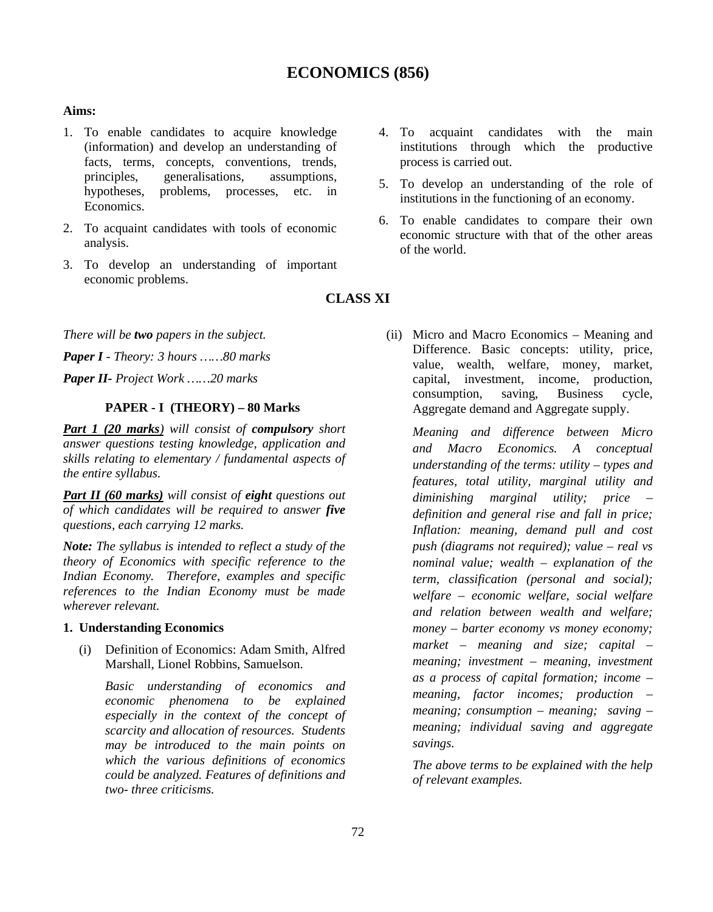# **ECONOMICS (856)**

#### **Aims:**

- 1. To enable candidates to acquire knowledge (information) and develop an understanding of facts, terms, concepts, conventions, trends, principles, generalisations, assumptions, hypotheses, problems, processes, etc. in Economics.
- 2. To acquaint candidates with tools of economic analysis.
- 3. To develop an understanding of important economic problems.
- acquaint candidates with the main institutions through which the productive process is carried out.
- 5. To develop an understanding of the role of institutions in the functioning of an economy.
- 6. To enable candidates to compare their own economic structure with that of the other areas of the world.

# **CLASS XI**

*There will be two papers in the subject.*

*Paper I - Theory: 3 hours ……80 marks*

*Paper II- Project Work ……20 marks*

# **PAPER - I (THEORY) – 80 Marks**

*Part 1 (20 marks) will consist of compulsory short answer questions testing knowledge, application and skills relating to elementary / fundamental aspects of the entire syllabus.*

*Part II (60 marks) will consist of eight questions out of which candidates will be required to answer five questions, each carrying 12 marks.*

*Note: The syllabus is intended to reflect a study of the theory of Economics with specific reference to the Indian Economy. Therefore, examples and specific references to the Indian Economy must be made wherever relevant.*

#### **1. Understanding Economics**

(i) Definition of Economics: Adam Smith, Alfred Marshall, Lionel Robbins, Samuelson.

*Basic understanding of economics and economic phenomena to be explained especially in the context of the concept of scarcity and allocation of resources. Students may be introduced to the main points on which the various definitions of economics could be analyzed. Features of definitions and two- three criticisms.*

(ii) Micro and Macro Economics – Meaning and Difference. Basic concepts: utility, price, value, wealth, welfare, money, market, capital, investment, income, production, consumption, saving, Business cycle, Aggregate demand and Aggregate supply.

*Meaning and difference between Micro and Macro Economics. A conceptual understanding of the terms: utility – types and features, total utility, marginal utility and diminishing marginal utility; price – definition and general rise and fall in price; Inflation: meaning, demand pull and cost push (diagrams not required); value – real vs nominal value; wealth – explanation of the term, classification (personal and social); welfare – economic welfare, social welfare and relation between wealth and welfare; money – barter economy vs money economy; market – meaning and size; capital – meaning; investment – meaning, investment as a process of capital formation; income – meaning, factor incomes; production – meaning; consumption – meaning; saving – meaning; individual saving and aggregate savings.*

*The above terms to be explained with the help of relevant examples.*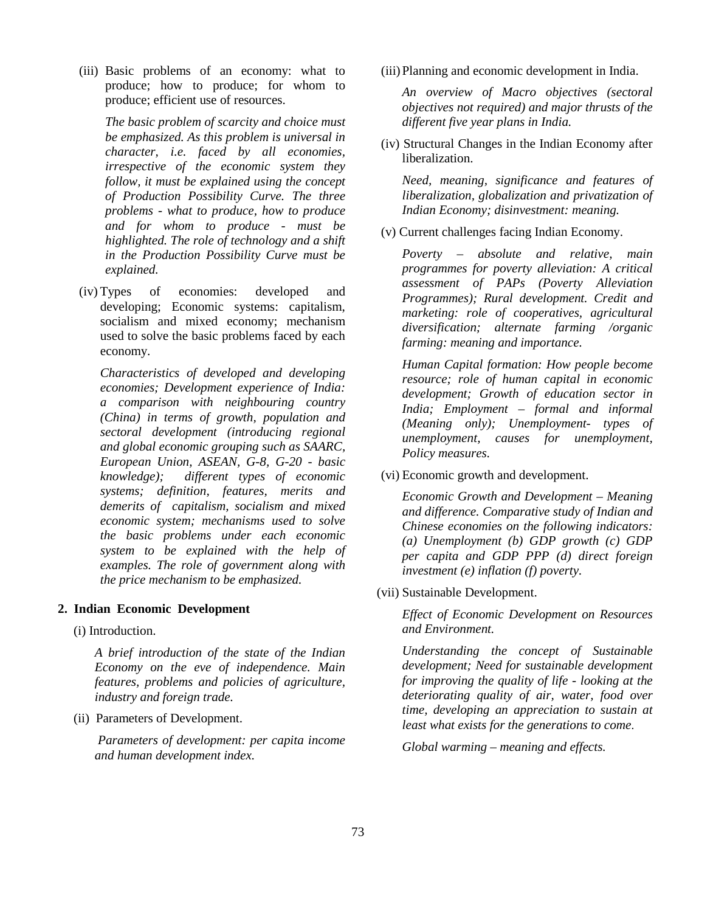(iii) Basic problems of an economy: what to produce; how to produce; for whom to produce; efficient use of resources.

*The basic problem of scarcity and choice must be emphasized. As this problem is universal in character, i.e. faced by all economies, irrespective of the economic system they follow, it must be explained using the concept of Production Possibility Curve. The three problems - what to produce, how to produce and for whom to produce - must be highlighted. The role of technology and a shift in the Production Possibility Curve must be explained.*

(iv) Types of economies: developed and developing; Economic systems: capitalism, socialism and mixed economy; mechanism used to solve the basic problems faced by each economy.

*Characteristics of developed and developing economies; Development experience of India: a comparison with neighbouring country (China) in terms of growth, population and sectoral development (introducing regional and global economic grouping such as SAARC, European Union, ASEAN, G-8, G-20 - basic knowledge); different types of economic systems; definition, features, merits and demerits of capitalism, socialism and mixed economic system; mechanisms used to solve the basic problems under each economic system to be explained with the help of examples. The role of government along with the price mechanism to be emphasized.*

#### **2. Indian Economic Development**

(i) Introduction.

*A brief introduction of the state of the Indian Economy on the eve of independence. Main features, problems and policies of agriculture, industry and foreign trade.*

(ii) Parameters of Development.

*Parameters of development: per capita income and human development index.*

(iii)Planning and economic development in India.

*An overview of Macro objectives (sectoral objectives not required) and major thrusts of the different five year plans in India.*

(iv) Structural Changes in the Indian Economy after liberalization.

*Need, meaning, significance and features of liberalization, globalization and privatization of Indian Economy; disinvestment: meaning.*

(v) Current challenges facing Indian Economy.

*Poverty – absolute and relative, main programmes for poverty alleviation: A critical assessment of PAPs (Poverty Alleviation Programmes); Rural development. Credit and marketing: role of cooperatives, agricultural diversification; alternate farming /organic farming: meaning and importance.*

*Human Capital formation: How people become resource; role of human capital in economic development; Growth of education sector in India; Employment – formal and informal (Meaning only); Unemployment- types of unemployment, causes for unemployment, Policy measures.*

(vi) Economic growth and development.

*Economic Growth and Development – Meaning and difference. Comparative study of Indian and Chinese economies on the following indicators: (a) Unemployment (b) GDP growth (c) GDP per capita and GDP PPP (d) direct foreign investment (e) inflation (f) poverty.*

(vii) Sustainable Development.

*Effect of Economic Development on Resources and Environment.*

*Understanding the concept of Sustainable development; Need for sustainable development for improving the quality of life - looking at the deteriorating quality of air, water, food over time, developing an appreciation to sustain at least what exists for the generations to come*.

*Global warming – meaning and effects.*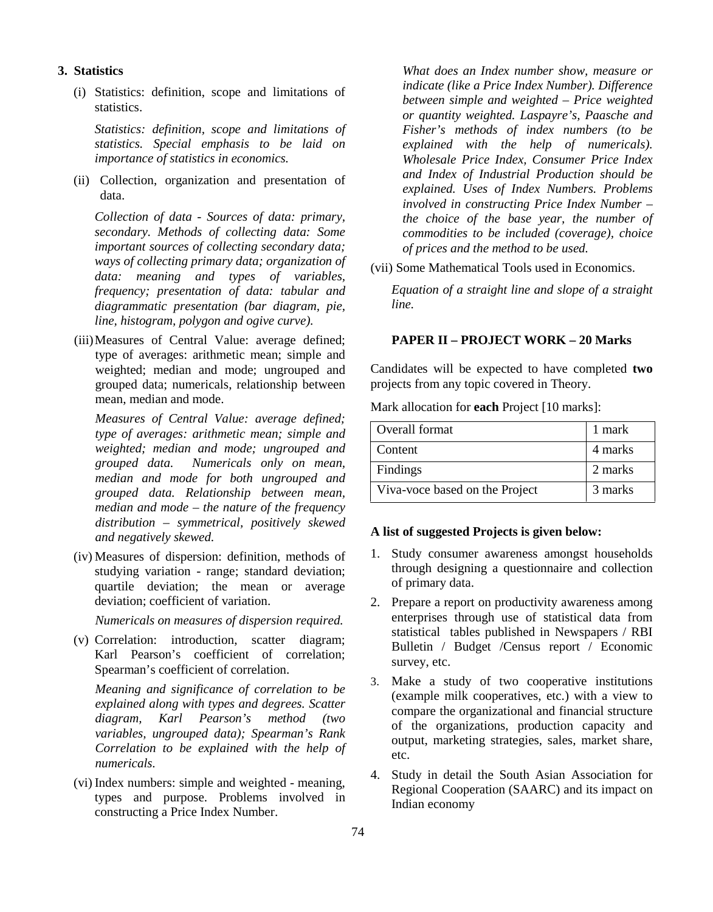#### **3. Statistics**

(i) Statistics: definition, scope and limitations of statistics.

*Statistics: definition, scope and limitations of statistics. Special emphasis to be laid on importance of statistics in economics.*

(ii) Collection, organization and presentation of data.

*Collection of data - Sources of data: primary, secondary. Methods of collecting data: Some important sources of collecting secondary data; ways of collecting primary data; organization of data: meaning and types of variables, frequency; presentation of data: tabular and diagrammatic presentation (bar diagram, pie, line, histogram, polygon and ogive curve).*

(iii)Measures of Central Value: average defined; type of averages: arithmetic mean; simple and weighted; median and mode; ungrouped and grouped data; numericals, relationship between mean, median and mode.

*Measures of Central Value: average defined; type of averages: arithmetic mean; simple and weighted; median and mode; ungrouped and grouped data. Numericals only on mean, median and mode for both ungrouped and grouped data. Relationship between mean, median and mode – the nature of the frequency distribution – symmetrical, positively skewed and negatively skewed.*

(iv) Measures of dispersion: definition, methods of studying variation - range; standard deviation; quartile deviation; the mean or average deviation; coefficient of variation.

*Numericals on measures of dispersion required.*

(v) Correlation: introduction, scatter diagram; Karl Pearson's coefficient of correlation; Spearman's coefficient of correlation.

*Meaning and significance of correlation to be explained along with types and degrees. Scatter diagram, Karl Pearson's method (two variables, ungrouped data); Spearman's Rank Correlation to be explained with the help of numericals.*

(vi) Index numbers: simple and weighted - meaning, types and purpose. Problems involved in constructing a Price Index Number.

*What does an Index number show, measure or indicate (like a Price Index Number). Difference between simple and weighted – Price weighted or quantity weighted. Laspayre's, Paasche and Fisher's methods of index numbers (to be explained with the help of numericals). Wholesale Price Index, Consumer Price Index and Index of Industrial Production should be explained. Uses of Index Numbers. Problems involved in constructing Price Index Number – the choice of the base year, the number of commodities to be included (coverage), choice of prices and the method to be used.*

(vii) Some Mathematical Tools used in Economics.

*Equation of a straight line and slope of a straight line.*

#### **PAPER II – PROJECT WORK – 20 Marks**

Candidates will be expected to have completed **two** projects from any topic covered in Theory.

Mark allocation for **each** Project [10 marks]:

| Overall format                 | 1 mark  |  |
|--------------------------------|---------|--|
| Content                        | 4 marks |  |
| Findings                       | 2 marks |  |
| Viva-voce based on the Project | 3 marks |  |

# **A list of suggested Projects is given below:**

- 1. Study consumer awareness amongst households through designing a questionnaire and collection of primary data.
- 2. Prepare a report on productivity awareness among enterprises through use of statistical data from statistical tables published in Newspapers / RBI Bulletin / Budget /Census report / Economic survey, etc.
- 3. Make a study of two cooperative institutions (example milk cooperatives, etc.) with a view to compare the organizational and financial structure of the organizations, production capacity and output, marketing strategies, sales, market share, etc.
- 4. Study in detail the South Asian Association for Regional Cooperation (SAARC) and its impact on Indian economy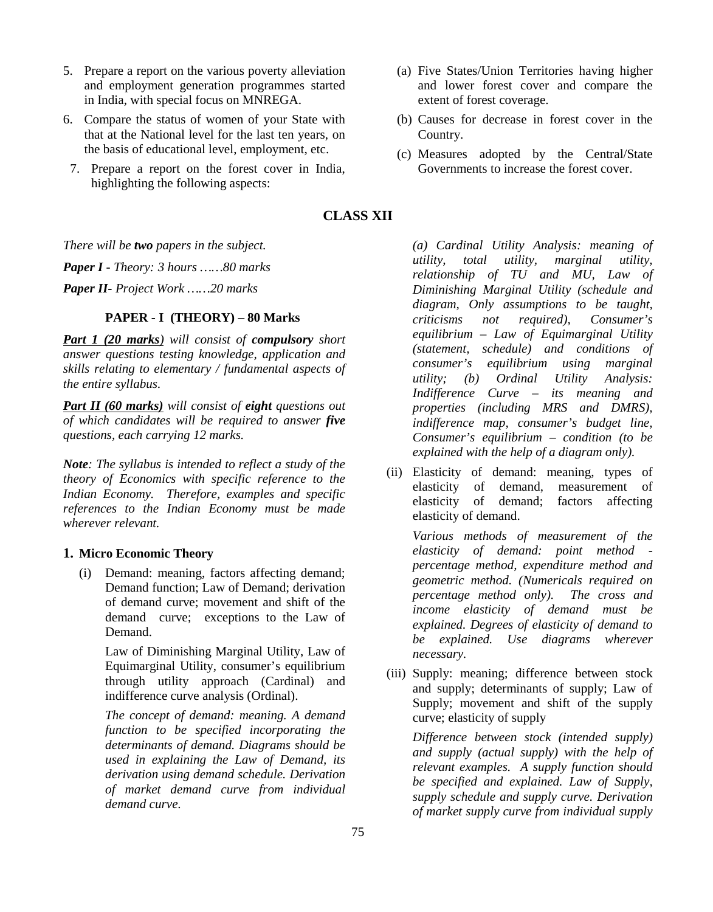- 5. Prepare a report on the various poverty alleviation and employment generation programmes started in India, with special focus on MNREGA.
- 6. Compare the status of women of your State with that at the National level for the last ten years, on the basis of educational level, employment, etc.
- 7. Prepare a report on the forest cover in India, highlighting the following aspects:
- (a) Five States/Union Territories having higher and lower forest cover and compare the extent of forest coverage.
- (b) Causes for decrease in forest cover in the Country.
- (c) Measures adopted by the Central/State Governments to increase the forest cover.

# **CLASS XII**

*There will be two papers in the subject.*

*Paper I - Theory: 3 hours ……80 marks*

*Paper II- Project Work ……20 marks*

#### **PAPER - I (THEORY) – 80 Marks**

*Part 1 (20 marks) will consist of compulsory short answer questions testing knowledge, application and skills relating to elementary / fundamental aspects of the entire syllabus.*

*Part II (60 marks) will consist of eight questions out of which candidates will be required to answer five questions, each carrying 12 marks.*

*Note: The syllabus is intended to reflect a study of the theory of Economics with specific reference to the Indian Economy. Therefore, examples and specific references to the Indian Economy must be made wherever relevant.*

#### **1. Micro Economic Theory**

(i) Demand: meaning, factors affecting demand; Demand function; Law of Demand; derivation of demand curve; movement and shift of the demand curve; exceptions to the Law of Demand.

Law of Diminishing Marginal Utility, Law of Equimarginal Utility, consumer's equilibrium through utility approach (Cardinal) and indifference curve analysis (Ordinal).

*The concept of demand: meaning. A demand function to be specified incorporating the determinants of demand. Diagrams should be used in explaining the Law of Demand, its derivation using demand schedule. Derivation of market demand curve from individual demand curve.*

*(a) Cardinal Utility Analysis: meaning of utility, total utility, marginal utility, relationship of TU and MU, Law of Diminishing Marginal Utility (schedule and diagram, Only assumptions to be taught, criticisms not required), Consumer's equilibrium – Law of Equimarginal Utility (statement, schedule) and conditions of consumer's equilibrium using marginal Ordinal Utility Analysis: Indifference Curve – its meaning and properties (including MRS and DMRS), indifference map, consumer's budget line, Consumer's equilibrium – condition (to be explained with the help of a diagram only).*

(ii) Elasticity of demand: meaning, types of elasticity of demand, measurement of elasticity of demand; factors affecting elasticity of demand.

*Various methods of measurement of the elasticity of demand: point method percentage method, expenditure method and geometric method. (Numericals required on percentage method only). The cross and income elasticity of demand must be explained. Degrees of elasticity of demand to be explained. Use diagrams wherever necessary.*

(iii) Supply: meaning; difference between stock and supply; determinants of supply; Law of Supply; movement and shift of the supply curve; elasticity of supply

*Difference between stock (intended supply) and supply (actual supply) with the help of relevant examples. A supply function should be specified and explained. Law of Supply, supply schedule and supply curve. Derivation of market supply curve from individual supply*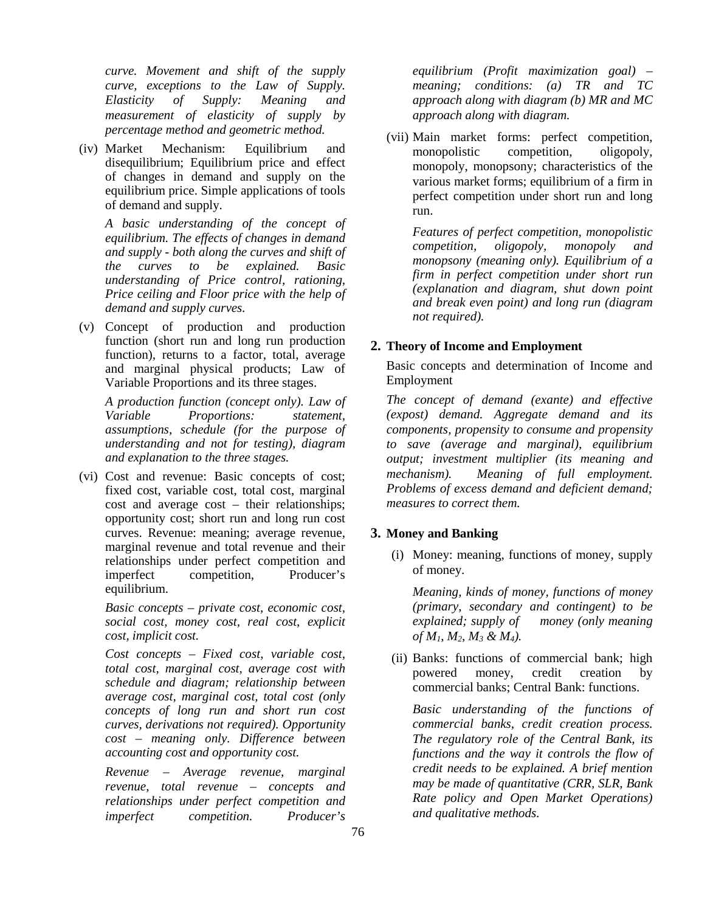*curve. Movement and shift of the supply curve, exceptions to the Law of Supply. Elasticity of Supply: Meaning and measurement of elasticity of supply by percentage method and geometric method.*

(iv) Market Mechanism: Equilibrium and disequilibrium; Equilibrium price and effect of changes in demand and supply on the equilibrium price. Simple applications of tools of demand and supply.

*A basic understanding of the concept of equilibrium. The effects of changes in demand and supply - both along the curves and shift of the curves to be explained. Basic understanding of Price control, rationing, Price ceiling and Floor price with the help of demand and supply curves.*

(v) Concept of production and production function (short run and long run production function), returns to a factor, total, average and marginal physical products; Law of Variable Proportions and its three stages.

*A production function (concept only). Law of Variable Proportions: statement, assumptions, schedule (for the purpose of understanding and not for testing), diagram and explanation to the three stages.*

(vi) Cost and revenue: Basic concepts of cost; fixed cost, variable cost, total cost, marginal cost and average cost – their relationships; opportunity cost; short run and long run cost curves. Revenue: meaning; average revenue, marginal revenue and total revenue and their relationships under perfect competition and imperfect competition, Producer's equilibrium.

*Basic concepts – private cost, economic cost, social cost, money cost, real cost, explicit cost, implicit cost.*

*Cost concepts – Fixed cost, variable cost, total cost, marginal cost, average cost with schedule and diagram; relationship between average cost, marginal cost, total cost (only concepts of long run and short run cost curves, derivations not required). Opportunity cost – meaning only. Difference between accounting cost and opportunity cost.*

*Revenue – Average revenue, marginal revenue, total revenue – concepts and relationships under perfect competition and imperfect competition. Producer's* *equilibrium (Profit maximization goal) – meaning; conditions: (a) TR and TC approach along with diagram (b) MR and MC approach along with diagram.*

(vii) Main market forms: perfect competition, monopolistic competition, oligopoly, monopoly, monopsony; characteristics of the various market forms; equilibrium of a firm in perfect competition under short run and long run.

*Features of perfect competition, monopolistic competition, oligopoly, monopoly and monopsony (meaning only). Equilibrium of a firm in perfect competition under short run (explanation and diagram, shut down point and break even point) and long run (diagram not required).*

# **2. Theory of Income and Employment**

Basic concepts and determination of Income and Employment

*The concept of demand (exante) and effective (expost) demand. Aggregate demand and its components, propensity to consume and propensity to save (average and marginal), equilibrium output; investment multiplier (its meaning and mechanism). Meaning of full employment. Problems of excess demand and deficient demand; measures to correct them.*

# **3. Money and Banking**

(i) Money: meaning, functions of money, supply of money.

*Meaning, kinds of money, functions of money (primary, secondary and contingent) to be explained; supply of money (only meaning of M1, M2, M<sup>3</sup> & M4).*

(ii) Banks: functions of commercial bank; high powered money, credit creation by commercial banks; Central Bank: functions.

*Basic understanding of the functions of commercial banks, credit creation process. The regulatory role of the Central Bank, its functions and the way it controls the flow of credit needs to be explained. A brief mention may be made of quantitative (CRR, SLR, Bank Rate policy and Open Market Operations) and qualitative methods.*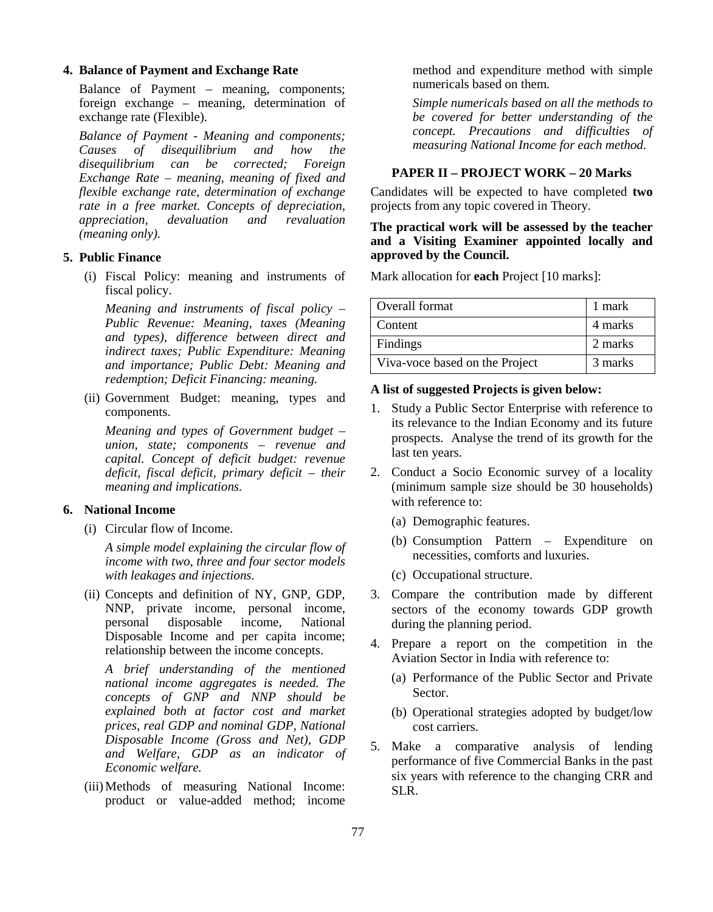#### **4. Balance of Payment and Exchange Rate**

Balance of Payment – meaning, components; foreign exchange – meaning, determination of exchange rate (Flexible).

*Balance of Payment - Meaning and components; Causes of disequilibrium and how the disequilibrium can be corrected; Foreign Exchange Rate – meaning, meaning of fixed and flexible exchange rate, determination of exchange rate in a free market. Concepts of depreciation, appreciation, devaluation and revaluation (meaning only).*

#### **5. Public Finance**

(i) Fiscal Policy: meaning and instruments of fiscal policy.

*Meaning and instruments of fiscal policy – Public Revenue: Meaning, taxes (Meaning and types), difference between direct and indirect taxes; Public Expenditure: Meaning and importance; Public Debt: Meaning and redemption; Deficit Financing: meaning.*

(ii) Government Budget: meaning, types and components.

*Meaning and types of Government budget – union, state; components – revenue and capital. Concept of deficit budget: revenue deficit, fiscal deficit, primary deficit – their meaning and implications.*

#### **6. National Income**

(i) Circular flow of Income.

*A simple model explaining the circular flow of income with two, three and four sector models with leakages and injections.*

(ii) Concepts and definition of NY, GNP, GDP, NNP, private income, personal income, personal disposable income, National Disposable Income and per capita income; relationship between the income concepts.

*A brief understanding of the mentioned national income aggregates is needed. The concepts of GNP and NNP should be explained both at factor cost and market prices, real GDP and nominal GDP, National Disposable Income (Gross and Net), GDP and Welfare, GDP as an indicator of Economic welfare.*

(iii)Methods of measuring National Income: product or value-added method; income method and expenditure method with simple numericals based on them.

*Simple numericals based on all the methods to be covered for better understanding of the concept. Precautions and difficulties of measuring National Income for each method.*

### **PAPER II – PROJECT WORK – 20 Marks**

Candidates will be expected to have completed **two** projects from any topic covered in Theory.

#### **The practical work will be assessed by the teacher and a Visiting Examiner appointed locally and approved by the Council.**

Mark allocation for **each** Project [10 marks]:

| Overall format                 | 1 mark  |  |
|--------------------------------|---------|--|
| Content                        | 4 marks |  |
| Findings                       | 2 marks |  |
| Viva-voce based on the Project | 3 marks |  |

#### **A list of suggested Projects is given below:**

- 1. Study a Public Sector Enterprise with reference to its relevance to the Indian Economy and its future prospects. Analyse the trend of its growth for the last ten years.
- 2. Conduct a Socio Economic survey of a locality (minimum sample size should be 30 households) with reference to:
	- (a) Demographic features.
	- (b) Consumption Pattern Expenditure on necessities, comforts and luxuries.
	- (c) Occupational structure.
- 3. Compare the contribution made by different sectors of the economy towards GDP growth during the planning period.
- 4. Prepare a report on the competition in the Aviation Sector in India with reference to:
	- (a) Performance of the Public Sector and Private Sector.
	- (b) Operational strategies adopted by budget/low cost carriers.
- 5. Make a comparative analysis of lending performance of five Commercial Banks in the past six years with reference to the changing CRR and SLR.